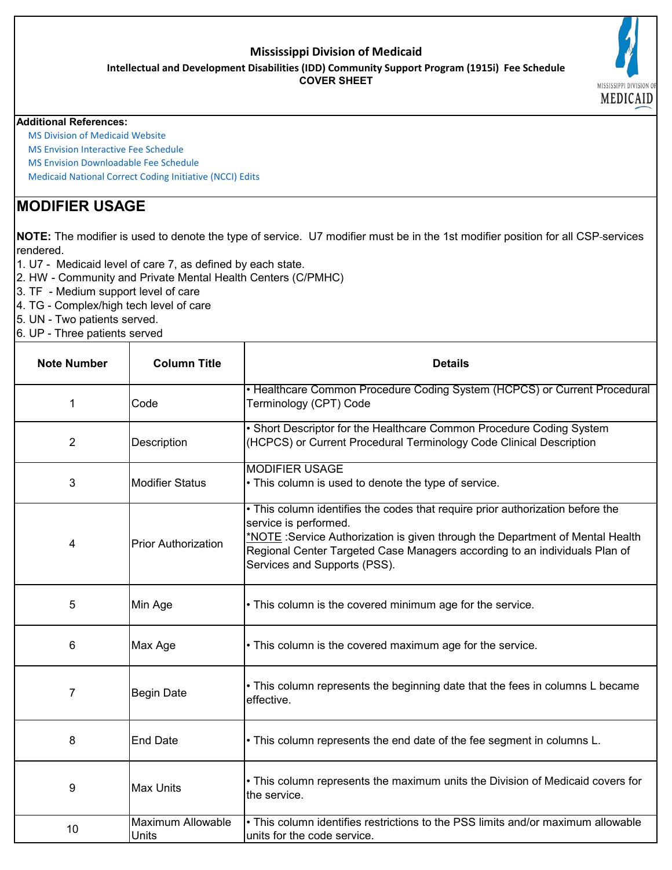### **Mississippi Division of Medicaid**

**Intellectual and Development Disabilities (IDD) Community Support Program (1915i) Fee Schedule**

**COVER SHEET**

#### **Additional References:**

 [MS Division of Medicaid](https://medicaid.ms.gov/) Website

 [MS Envision Interactive F](https://www.ms-medicaid.com/msenvision/feeScheduleInquiry.do)ee Schedule

 [MS Envision Downloada](https://www.ms-medicaid.com/msenvision/AMA_ADA_licenseAgreement.do?strUrl=feeScheduleInquiry)ble Fee Schedule

 [Medicaid National Corre](https://www.medicaid.gov/medicaid/program-integrity/national-correct-coding-initiative/medicaid-ncci-edit-files/index.html)ct Coding Initiative (NCCI) Edits

# **MODIFIER USAGE**

**NOTE:** The modifier is used to denote the type of service. U7 modifier must be in the 1st modifier position for all CSP services rendered.

- 1. U7 Medicaid level of care 7, as defined by each state.
- 2. HW Community and Private Mental Health Centers (C/PMHC)
- 3. TF Medium support level of care
- 4. TG Complex/high tech level of care
- 5. UN Two patients served.
- 6. UP Three patients served

| <b>Note Number</b> | <b>Column Title</b>        | <b>Details</b>                                                                                                                                                                                                                                                                                         |
|--------------------|----------------------------|--------------------------------------------------------------------------------------------------------------------------------------------------------------------------------------------------------------------------------------------------------------------------------------------------------|
| 1                  | Code                       | • Healthcare Common Procedure Coding System (HCPCS) or Current Procedural<br>Terminology (CPT) Code                                                                                                                                                                                                    |
| 2                  | Description                | • Short Descriptor for the Healthcare Common Procedure Coding System<br>(HCPCS) or Current Procedural Terminology Code Clinical Description                                                                                                                                                            |
| 3                  | <b>Modifier Status</b>     | <b>MODIFIER USAGE</b><br>• This column is used to denote the type of service.                                                                                                                                                                                                                          |
| 4                  | <b>Prior Authorization</b> | . This column identifies the codes that require prior authorization before the<br>service is performed.<br>*NOTE: Service Authorization is given through the Department of Mental Health<br>Regional Center Targeted Case Managers according to an individuals Plan of<br>Services and Supports (PSS). |
| 5                  | Min Age                    | • This column is the covered minimum age for the service.                                                                                                                                                                                                                                              |
| 6                  | Max Age                    | • This column is the covered maximum age for the service.                                                                                                                                                                                                                                              |
| 7                  | <b>Begin Date</b>          | • This column represents the beginning date that the fees in columns L became<br>effective.                                                                                                                                                                                                            |
| 8                  | <b>End Date</b>            | • This column represents the end date of the fee segment in columns L.                                                                                                                                                                                                                                 |
| 9                  | <b>Max Units</b>           | • This column represents the maximum units the Division of Medicaid covers for<br>the service.                                                                                                                                                                                                         |
| 10                 | Maximum Allowable<br>Units | • This column identifies restrictions to the PSS limits and/or maximum allowable<br>units for the code service.                                                                                                                                                                                        |

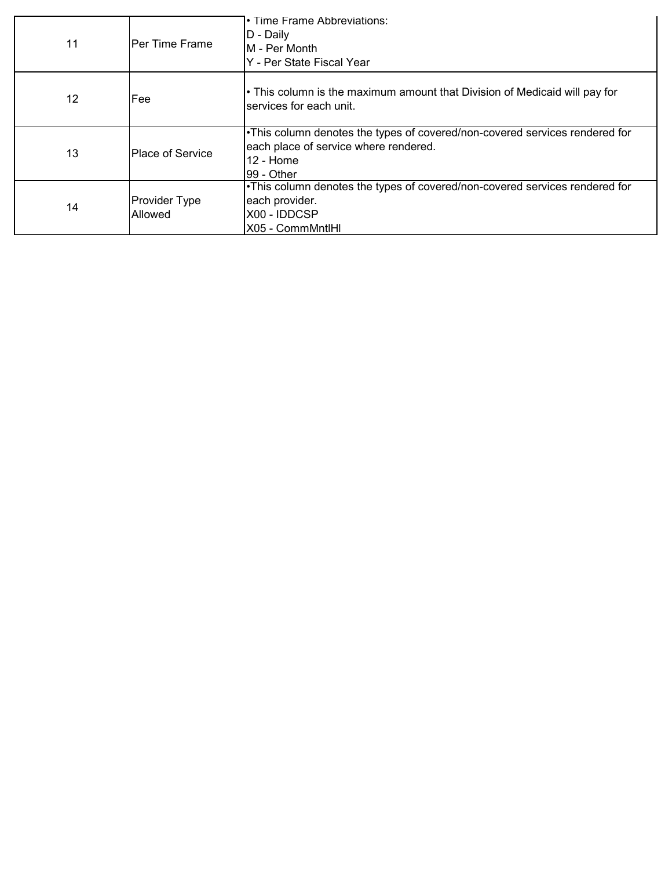| 11 | <b>IPer Time Frame</b>          | • Time Frame Abbreviations:<br>D - Daily<br><b>M</b> - Per Month<br>Y - Per State Fiscal Year                                                    |
|----|---------------------------------|--------------------------------------------------------------------------------------------------------------------------------------------------|
| 12 | <b>IFee</b>                     | • This column is the maximum amount that Division of Medicaid will pay for<br>services for each unit.                                            |
| 13 | Place of Service                | . This column denotes the types of covered/non-covered services rendered for<br>each place of service where rendered.<br>12 - Home<br>99 - Other |
| 14 | <b>Provider Type</b><br>Allowed | •This column denotes the types of covered/non-covered services rendered for<br>each provider.<br>X00 - IDDCSP<br>X05 - CommMntlHl                |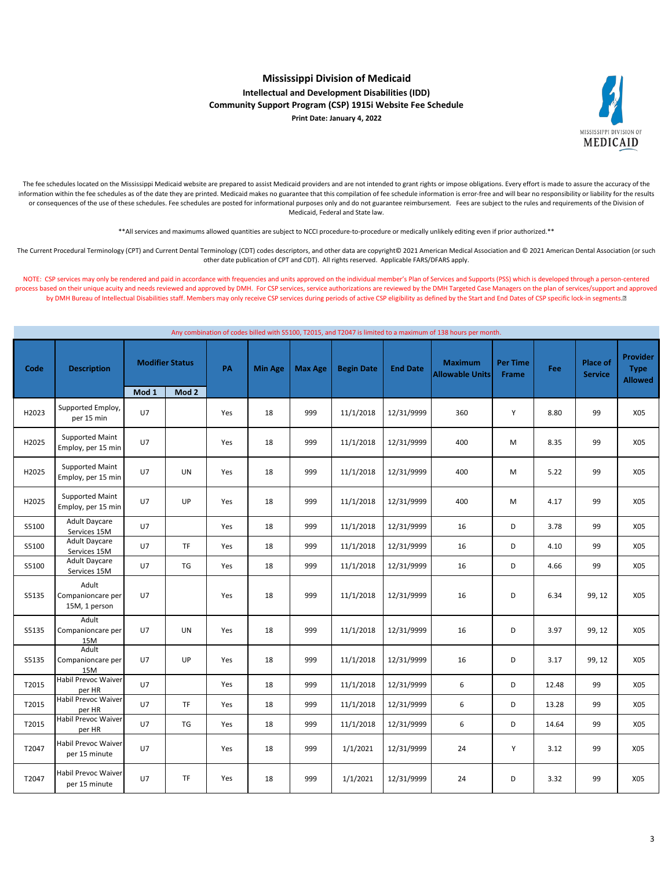

#### **Mississippi Division of Medicaid Intellectual and Development Disabilities (IDD) Community Support Program (CSP) 1915i Website Fee Schedule Print Date: January 4, 2022**

The fee schedules located on the Mississippi Medicaid website are prepared to assist Medicaid providers and are not intended to grant rights or impose obligations. Every effort is made to assure the accuracy of the information within the fee schedules as of the date they are printed. Medicaid makes no guarantee that this compilation of fee schedule information is error-free and will bear no responsibility or liability for the results or consequences of the use of these schedules. Fee schedules are posted for informational purposes only and do not guarantee reimbursement. Fees are subject to the rules and requirements of the Division of Medicaid, Federal and State law.

\*\*All services and maximums allowed quantities are subject to NCCI procedure-to-procedure or medically unlikely editing even if prior authorized.\*\*

The Current Procedural Terminology (CPT) and Current Dental Terminology (CDT) codes descriptors, and other data are copyright© 2021 American Medical Association and © 2021 American Dental Association (or such other date publication of CPT and CDT). All rights reserved. Applicable FARS/DFARS apply.

NOTE: CSP services may only be rendered and paid in accordance with frequencies and units approved on the individual member's Plan of Services and Supports (PSS) which is developed through a person-centered process based on their unique acuity and needs reviewed and approved by DMH. For CSP services, service authorizations are reviewed by the DMH Targeted Case Managers on the plan of services/support and approved by DMH Bureau of Intellectual Disabilities staff. Members may only receive CSP services during periods of active CSP eligibility as defined by the Start and End Dates of CSP specific lock-in segments.<sup>[8]</sup>

|       | Any combination of codes billed with S5100, T2015, and T2047 is limited to a maximum of 138 hours per month. |                |                        |     |                |                |                   |                 |                                          |                          |       |                                   |                                                  |
|-------|--------------------------------------------------------------------------------------------------------------|----------------|------------------------|-----|----------------|----------------|-------------------|-----------------|------------------------------------------|--------------------------|-------|-----------------------------------|--------------------------------------------------|
| Code  | <b>Description</b>                                                                                           |                | <b>Modifier Status</b> | PA  | <b>Min Age</b> | <b>Max Age</b> | <b>Begin Date</b> | <b>End Date</b> | <b>Maximum</b><br><b>Allowable Units</b> | <b>Per Time</b><br>Frame | Fee   | <b>Place of</b><br><b>Service</b> | <b>Provider</b><br><b>Type</b><br><b>Allowed</b> |
|       |                                                                                                              | Mod 1          | Mod 2                  |     |                |                |                   |                 |                                          |                          |       |                                   |                                                  |
| H2023 | Supported Employ,<br>per 15 min                                                                              | U <sub>7</sub> |                        | Yes | 18             | 999            | 11/1/2018         | 12/31/9999      | 360                                      | Y                        | 8.80  | 99                                | X05                                              |
| H2025 | <b>Supported Maint</b><br>Employ, per 15 min                                                                 | U7             |                        | Yes | 18             | 999            | 11/1/2018         | 12/31/9999      | 400                                      | M                        | 8.35  | 99                                | X05                                              |
| H2025 | Supported Maint<br>Employ, per 15 min                                                                        | U7             | UN                     | Yes | 18             | 999            | 11/1/2018         | 12/31/9999      | 400                                      | M                        | 5.22  | 99                                | X05                                              |
| H2025 | Supported Maint<br>Employ, per 15 min                                                                        | U7             | UP                     | Yes | 18             | 999            | 11/1/2018         | 12/31/9999      | 400                                      | M                        | 4.17  | 99                                | X05                                              |
| S5100 | Adult Daycare<br>Services 15M                                                                                | U7             |                        | Yes | 18             | 999            | 11/1/2018         | 12/31/9999      | 16                                       | D                        | 3.78  | 99                                | X05                                              |
| S5100 | <b>Adult Daycare</b><br>Services 15M                                                                         | U7             | <b>TF</b>              | Yes | 18             | 999            | 11/1/2018         | 12/31/9999      | 16                                       | D                        | 4.10  | 99                                | X05                                              |
| S5100 | <b>Adult Daycare</b><br>Services 15M                                                                         | U7             | <b>TG</b>              | Yes | 18             | 999            | 11/1/2018         | 12/31/9999      | 16                                       | D                        | 4.66  | 99                                | X05                                              |
| S5135 | Adult<br>Companioncare per<br>15M, 1 person                                                                  | U7             |                        | Yes | 18             | 999            | 11/1/2018         | 12/31/9999      | 16                                       | D                        | 6.34  | 99, 12                            | X05                                              |
| S5135 | Adult<br>Companioncare per<br>15M                                                                            | U7             | UN                     | Yes | 18             | 999            | 11/1/2018         | 12/31/9999      | 16                                       | D                        | 3.97  | 99, 12                            | X05                                              |
| S5135 | Adult<br>Companioncare per<br>15M                                                                            | U7             | UP                     | Yes | 18             | 999            | 11/1/2018         | 12/31/9999      | 16                                       | D                        | 3.17  | 99, 12                            | X05                                              |
| T2015 | <b>Habil Prevoc Waiver</b><br>per HR                                                                         | U7             |                        | Yes | 18             | 999            | 11/1/2018         | 12/31/9999      | 6                                        | D                        | 12.48 | 99                                | X05                                              |
| T2015 | <b>Habil Prevoc Waiver</b><br>per HR                                                                         | U7             | TF                     | Yes | 18             | 999            | 11/1/2018         | 12/31/9999      | 6                                        | D                        | 13.28 | 99                                | X05                                              |
| T2015 | <b>Habil Prevoc Waiver</b><br>per HR                                                                         | U7             | TG                     | Yes | 18             | 999            | 11/1/2018         | 12/31/9999      | 6                                        | D                        | 14.64 | 99                                | X05                                              |
| T2047 | Habil Prevoc Waiver<br>per 15 minute                                                                         | U7             |                        | Yes | 18             | 999            | 1/1/2021          | 12/31/9999      | 24                                       | Υ                        | 3.12  | 99                                | X05                                              |
| T2047 | <b>Habil Prevoc Waiver</b><br>per 15 minute                                                                  | U7             | <b>TF</b>              | Yes | 18             | 999            | 1/1/2021          | 12/31/9999      | 24                                       | D                        | 3.32  | 99                                | X05                                              |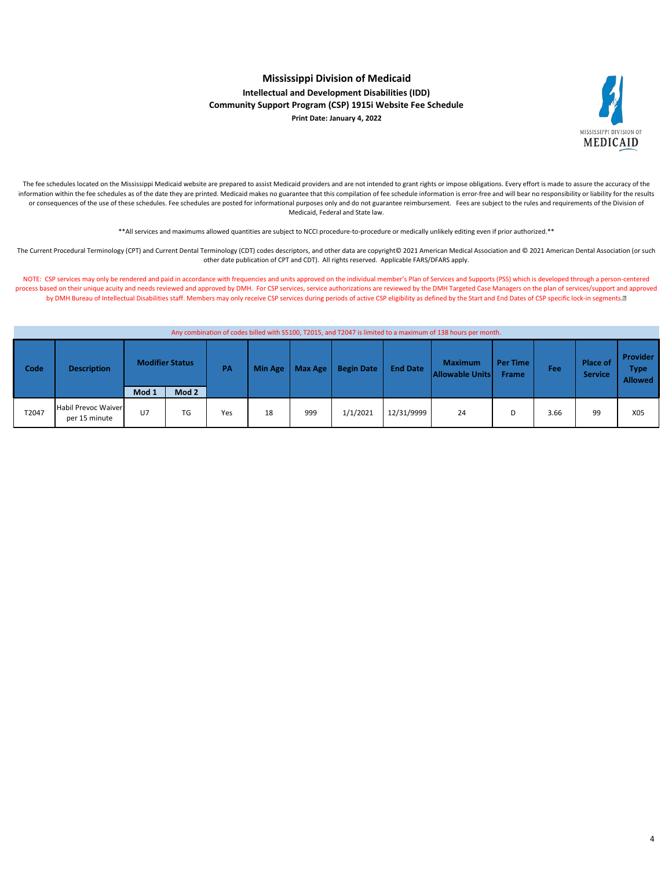

#### **Mississippi Division of Medicaid Intellectual and Development Disabilities (IDD) Community Support Program (CSP) 1915i Website Fee Schedule Print Date: January 4, 2022**

The fee schedules located on the Mississippi Medicaid website are prepared to assist Medicaid providers and are not intended to grant rights or impose obligations. Every effort is made to assure the accuracy of the information within the fee schedules as of the date they are printed. Medicaid makes no guarantee that this compilation of fee schedule information is error-free and will bear no responsibility or liability for the results or consequences of the use of these schedules. Fee schedules are posted for informational purposes only and do not guarantee reimbursement. Fees are subject to the rules and requirements of the Division of Medicaid, Federal and State law.

\*\*All services and maximums allowed quantities are subject to NCCI procedure-to-procedure or medically unlikely editing even if prior authorized.\*\*

The Current Procedural Terminology (CPT) and Current Dental Terminology (CDT) codes descriptors, and other data are copyright© 2021 American Medical Association and © 2021 American Dental Association (or such other date publication of CPT and CDT). All rights reserved. Applicable FARS/DFARS apply.

NOTE: CSP services may only be rendered and paid in accordance with frequencies and units approved on the individual member's Plan of Services and Supports (PSS) which is developed through a person-centered process based on their unique acuity and needs reviewed and approved by DMH. For CSP services, service authorizations are reviewed by the DMH Targeted Case Managers on the plan of services/support and approved by DMH Bureau of Intellectual Disabilities staff. Members may only receive CSP services during periods of active CSP eligibility as defined by the Start and End Dates of CSP specific lock-in segments.<sup>[8]</sup>

|       | Any compilation of codes billed with SS100, TZ015, and TZ047 is immedited to a maximum of 156 hours per month. |                        |                  |           |         |         |                   |                 |                                          |                          |      |                            |                                           |
|-------|----------------------------------------------------------------------------------------------------------------|------------------------|------------------|-----------|---------|---------|-------------------|-----------------|------------------------------------------|--------------------------|------|----------------------------|-------------------------------------------|
| Code  | <b>Description</b>                                                                                             | <b>Modifier Status</b> |                  | <b>PA</b> | Min Age | Max Age | <b>Begin Date</b> | <b>End Date</b> | <b>Maximum</b><br><b>Allowable Units</b> | Per Time<br><b>Frame</b> | Fee  | Place of<br><b>Service</b> | <b>Provider</b><br>Type<br><b>Allowed</b> |
|       |                                                                                                                | Mod 1                  | Mod <sub>2</sub> |           |         |         |                   |                 |                                          |                          |      |                            |                                           |
| T2047 | <b>Habil Prevoc Waiver</b><br>per 15 minute                                                                    | $U$ 7                  | TG               | Yes       | 18      | 999     | 1/1/2021          | 12/31/9999      | 24                                       | D                        | 3.66 | 99                         | X05                                       |

Any combination of codes billed with S5100, T2015, and T2047 is limited to a maximum of 138 hours per month.